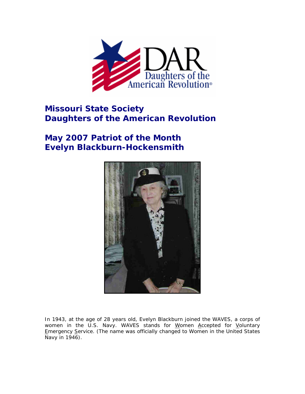

## **Missouri State Society Daughters of the American Revolution**

## **May 2007 Patriot of the Month Evelyn Blackburn-Hockensmith**



In 1943, at the age of 28 years old, Evelyn Blackburn joined the WAVES, a corps of women in the U.S. Navy. WAVES stands for Women Accepted for Voluntary Emergency Service. (The name was officially changed to Women in the United States Navy in 1946).